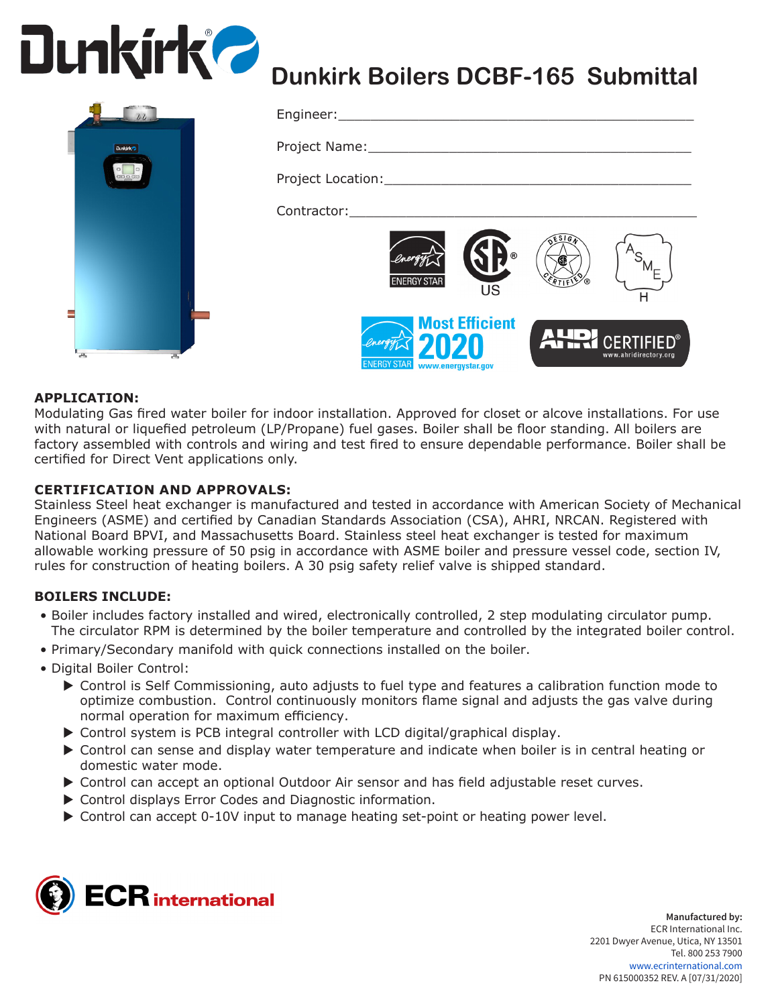



# **Dunkirk Boilers DCBF-165 Submittal**

| Engineer:________________________                                                                              |                                                    |                         |                                                 |
|----------------------------------------------------------------------------------------------------------------|----------------------------------------------------|-------------------------|-------------------------------------------------|
| Project Name: ____________________                                                                             |                                                    |                         |                                                 |
|                                                                                                                |                                                    |                         |                                                 |
| Contractor: The Contractor Services and Services and Services and Services and Services and Services and Servi |                                                    |                         |                                                 |
| <b>ENERGY STAR</b>                                                                                             | $\circledR$<br><b>US</b>                           | ESIG<br><b>CERTIFIC</b> |                                                 |
| <b>ENERGY STAR</b>                                                                                             | <b>Most Efficient</b><br>020<br>www.energystar.gov |                         | <b>ANRY CERTIFIED®</b><br>www.ahridirectory.org |

### **APPLICATION:**

Modulating Gas fired water boiler for indoor installation. Approved for closet or alcove installations. For use with natural or liquefied petroleum (LP/Propane) fuel gases. Boiler shall be floor standing. All boilers are factory assembled with controls and wiring and test fired to ensure dependable performance. Boiler shall be certified for Direct Vent applications only.

#### **CERTIFICATION AND APPROVALS:**

Stainless Steel heat exchanger is manufactured and tested in accordance with American Society of Mechanical Engineers (ASME) and certified by Canadian Standards Association (CSA), AHRI, NRCAN. Registered with National Board BPVI, and Massachusetts Board. Stainless steel heat exchanger is tested for maximum allowable working pressure of 50 psig in accordance with ASME boiler and pressure vessel code, section IV, rules for construction of heating boilers. A 30 psig safety relief valve is shipped standard.

#### **BOILERS INCLUDE:**

- Boiler includes factory installed and wired, electronically controlled, 2 step modulating circulator pump. The circulator RPM is determined by the boiler temperature and controlled by the integrated boiler control.
- Primary/Secondary manifold with quick connections installed on the boiler.
- Digital Boiler Control:
	- ▶ Control is Self Commissioning, auto adjusts to fuel type and features a calibration function mode to optimize combustion. Control continuously monitors flame signal and adjusts the gas valve during normal operation for maximum efficiency.
	- $\triangleright$  Control system is PCB integral controller with LCD digital/graphical display.
	- $\triangleright$  Control can sense and display water temperature and indicate when boiler is in central heating or domestic water mode.
	- ▶ Control can accept an optional Outdoor Air sensor and has field adjustable reset curves.
	- $\triangleright$  Control displays Error Codes and Diagnostic information.
	- ▶ Control can accept 0-10V input to manage heating set-point or heating power level.



**Manufactured by:** ECR International Inc. 2201 Dwyer Avenue, Utica, NY 13501 Tel. 800 253 7900 www.ecrinternational.com PN 615000352 REV. A [07/31/2020]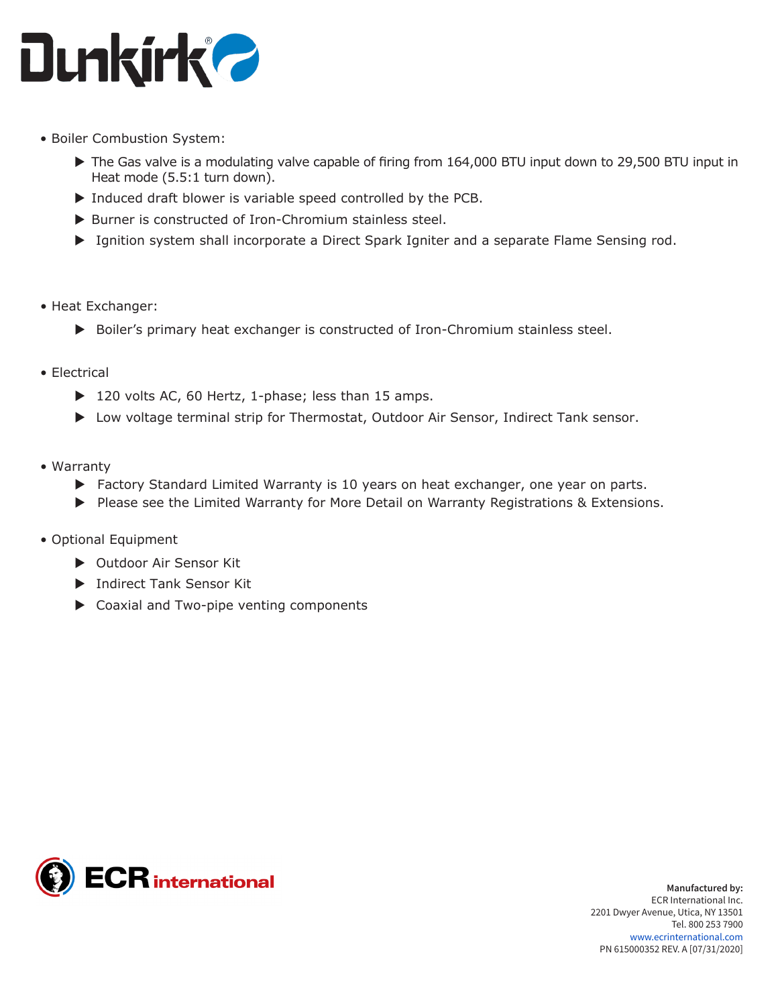

- Boiler Combustion System:
	- $\triangleright$  The Gas valve is a modulating valve capable of firing from 164,000 BTU input down to 29,500 BTU input in Heat mode (5.5:1 turn down).
	- $\triangleright$  Induced draft blower is variable speed controlled by the PCB.
	- $\triangleright$  Burner is constructed of Iron-Chromium stainless steel.
	- ▶ Ignition system shall incorporate a Direct Spark Igniter and a separate Flame Sensing rod.
- Heat Exchanger:
	- $\triangleright$  Boiler's primary heat exchanger is constructed of Iron-Chromium stainless steel.
- Electrical
	- $\triangleright$  120 volts AC, 60 Hertz, 1-phase; less than 15 amps.
	- ▶ Low voltage terminal strip for Thermostat, Outdoor Air Sensor, Indirect Tank sensor.
- Warranty
	- $\blacktriangleright$  Factory Standard Limited Warranty is 10 years on heat exchanger, one year on parts.
	- ▶ Please see the Limited Warranty for More Detail on Warranty Registrations & Extensions.
- Optional Equipment
	- ▶ Outdoor Air Sensor Kit
	- **Indirect Tank Sensor Kit**
	- $\triangleright$  Coaxial and Two-pipe venting components

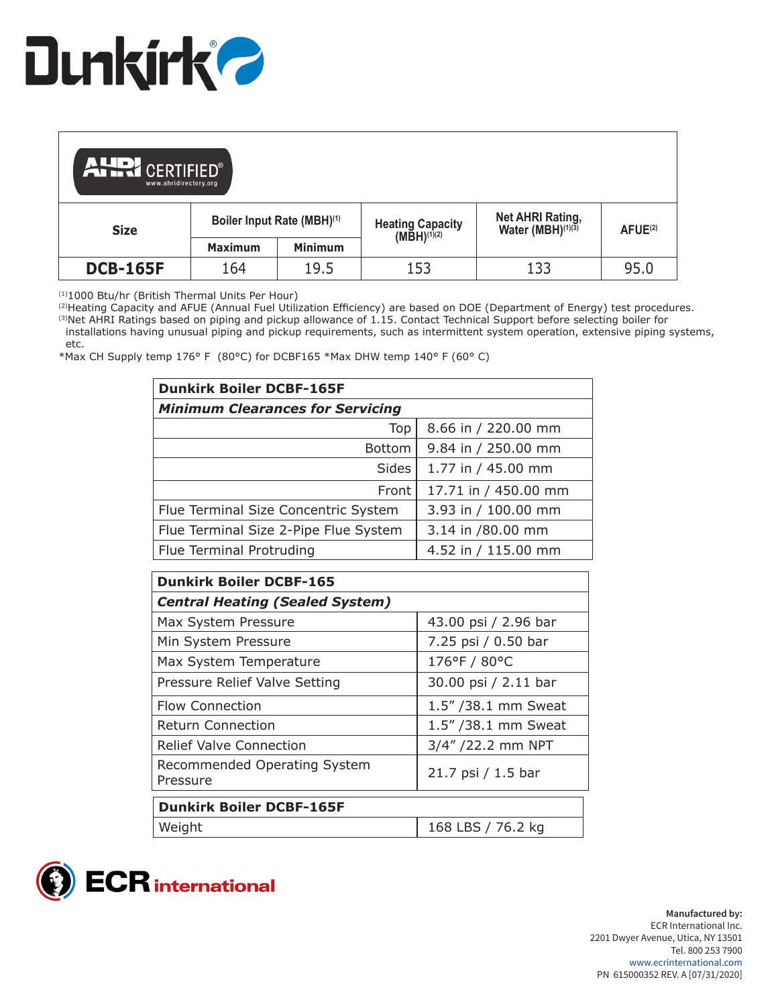

| <b>ALLOI</b> CERTIFIED®<br>www.ahridirectory.org |                            |                |                                             |                                                   |                      |
|--------------------------------------------------|----------------------------|----------------|---------------------------------------------|---------------------------------------------------|----------------------|
| <b>Size</b>                                      | Boiler Input Rate (MBH)(1) |                | Heating Capacity<br>(MBH) <sup>(1)(2)</sup> | Net AHRI Rating,<br>Water (MBH) <sup>(1)(3)</sup> | A FUE <sup>(2)</sup> |
|                                                  | <b>Maximum</b>             | <b>Minimum</b> |                                             |                                                   |                      |
| <b>DCB-165F</b>                                  | 164                        | 19.5           | 153                                         | 133                                               | 95.0                 |

(1)1000 Btu/hr (British Thermal Units Per Hour)

(2)Heating Capacity and AFUE (Annual Fuel Utilization Efficiency) are based on DOE (Department of Energy) test procedures. <sup>(3)</sup>Net AHRI Ratings based on piping and pickup allowance of 1.15. Contact Technical Support before selecting boiler for installations having unusual piping and pickup requirements, such as intermittent system operation, extensive piping systems,

 etc. \*Max CH Supply temp 176° F (80°C) for DCBF165 \*Max DHW temp 140° F (60° C)

| <b>Dunkirk Boiler DCBF-165F</b>         |                      |  |  |  |
|-----------------------------------------|----------------------|--|--|--|
| <b>Minimum Clearances for Servicing</b> |                      |  |  |  |
| Top                                     | 8.66 in / 220.00 mm  |  |  |  |
| <b>Bottom</b>                           | 9.84 in / 250.00 mm  |  |  |  |
| Sides                                   | 1.77 in / 45.00 mm   |  |  |  |
| Front                                   | 17.71 in / 450.00 mm |  |  |  |
| Flue Terminal Size Concentric System    | 3.93 in / 100.00 mm  |  |  |  |
| Flue Terminal Size 2-Pipe Flue System   | 3.14 in /80.00 mm    |  |  |  |
| Flue Terminal Protruding                | 4.52 in / 115.00 mm  |  |  |  |

| <b>Dunkirk Boiler DCBF-165</b>           |                      |  |  |  |
|------------------------------------------|----------------------|--|--|--|
| <b>Central Heating (Sealed System)</b>   |                      |  |  |  |
| Max System Pressure                      | 43.00 psi / 2.96 bar |  |  |  |
| Min System Pressure                      | 7.25 psi / 0.50 bar  |  |  |  |
| Max System Temperature                   | 176°F / 80°C         |  |  |  |
| Pressure Relief Valve Setting            | 30.00 psi / 2.11 bar |  |  |  |
| <b>Flow Connection</b>                   | 1.5" / 38.1 mm Sweat |  |  |  |
| <b>Return Connection</b>                 | 1.5" / 38.1 mm Sweat |  |  |  |
| <b>Relief Valve Connection</b>           | 3/4" /22.2 mm NPT    |  |  |  |
| Recommended Operating System<br>Pressure | 21.7 psi / 1.5 bar   |  |  |  |
| <b>Dunkirk Boiler DCBF-165F</b>          |                      |  |  |  |
| Weight                                   | 168 LBS / 76.2 kg    |  |  |  |

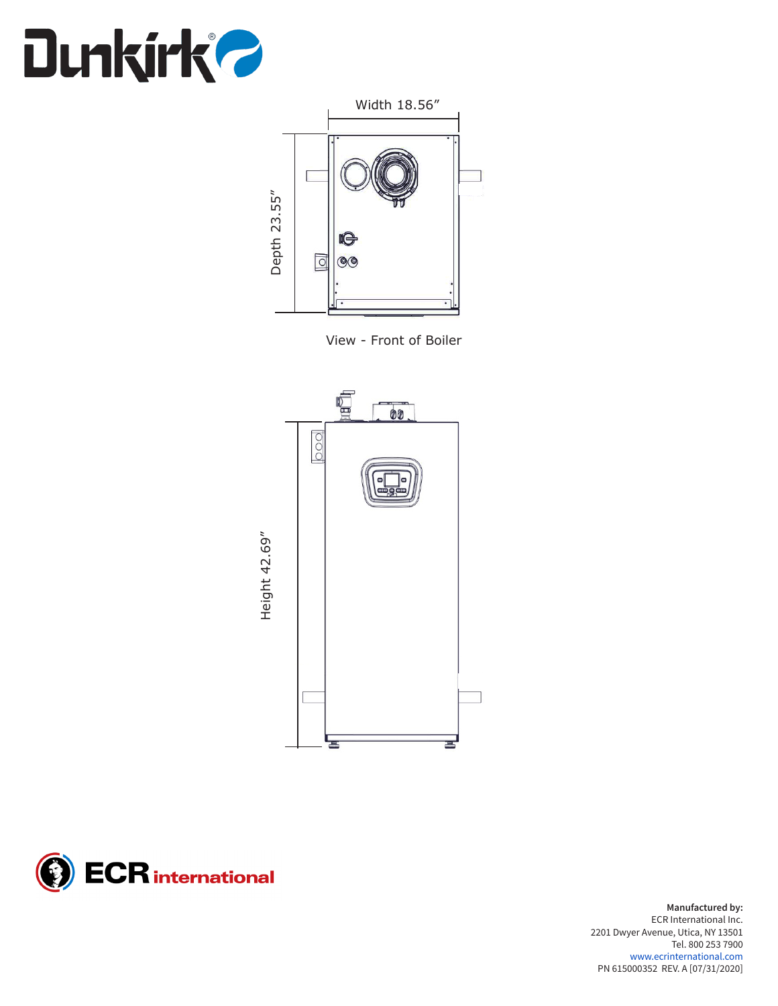



View - Front of Boiler





**Manufactured by:** ECR International Inc. 2201 Dwyer Avenue, Utica, NY 13501 Tel. 800 253 7900 www.ecrinternational.com PN 615000352 REV. A [07/31/2020]